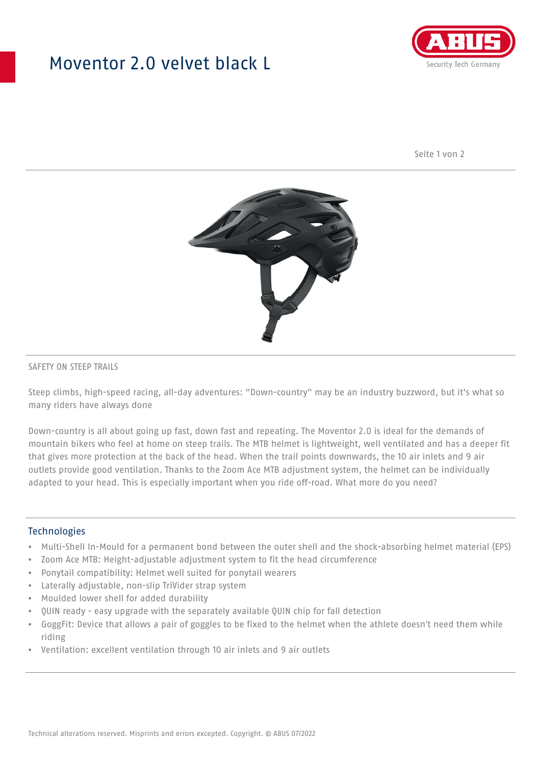## Moventor 2.0 velvet black L



Seite 1 von 2



#### SAFETY ON STEEP TRAILS

Steep climbs, high-speed racing, all-day adventures: "Down-country" may be an industry buzzword, but it's what so many riders have always done

Down-country is all about going up fast, down fast and repeating. The Moventor 2.0 is ideal for the demands of mountain bikers who feel at home on steep trails. The MTB helmet is lightweight, well ventilated and has a deeper fit that gives more protection at the back of the head. When the trail points downwards, the 10 air inlets and 9 air outlets provide good ventilation. Thanks to the Zoom Ace MTB adjustment system, the helmet can be individually adapted to your head. This is especially important when you ride off-road. What more do you need?

#### **Technologies**

- Multi-Shell In-Mould for a permanent bond between the outer shell and the shock-absorbing helmet material (EPS)
- Zoom Ace MTB: Height-adjustable adjustment system to fit the head circumference
- Ponytail compatibility: Helmet well suited for ponytail wearers
- Laterally adjustable, non-slip TriVider strap system
- Moulded lower shell for added durability
- QUIN ready easy upgrade with the separately available QUIN chip for fall detection
- GoggFit: Device that allows a pair of goggles to be fixed to the helmet when the athlete doesn't need them while riding
- Ventilation: excellent ventilation through 10 air inlets and 9 air outlets